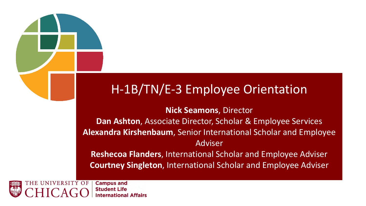### H-1B/TN/E-3 Employee Orientation

### **Nick Seamons**, Director

**Dan Ashton**, Associate Director, Scholar & Employee Services **Alexandra Kirshenbaum**, Senior International Scholar and Employee Adviser

**Reshecoa Flanders**, International Scholar and Employee Adviser **Courtney Singleton**, International Scholar and Employee Adviser



**Campus and Student Life International Affairs**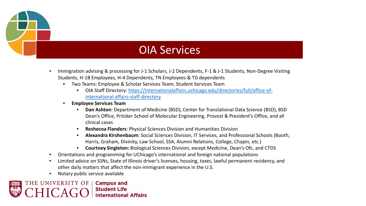

### OIA Services

- Immigration advising & processing for J-1 Scholars, J-2 Dependents, F-1 & J-1 Students, Non-Degree Visiting Students, H-1B Employees, H-4 Dependents, TN Employees & TD dependents
	- Two Teams: Employee & Scholar Services Team; Student Services Team
		- [OIA Staff Directory: https://internationalaffairs.uchicago.edu/directories/full/office-of](https://internationalaffairs.uchicago.edu/directories/full/office-of-international-affairs-staff-directory)international-affairs-staff-directory
	- **Employee Services Team**
		- **Dan Ashton**: Department of Medicine (BSD), Center for Translational Data Science (BSD), BSD Dean's Office, Pritzker School of Molecular Engineering, Provost & President's Office, and all clinical cases
		- **Reshecoa Flanders**: Physical Sciences Division and Humanities Division
		- **Alexandra Kirshenbaum**: Social Sciences Division, IT Services, and Professional Schools (Booth, Harris, Graham, Divinity, Law School, SSA, Alumni Relations, College, Chapin, etc.)
		- **Courtney Singleton:** Biological Sciences Division, except Medicine, Dean's Ofc, and CTDS
- Orientations and programming for UChicago's international and foreign national populations
- Limited advice on SSNs, State of Illinois driver's licenses, housing, taxes, lawful permanent residency, and other daily matters that affect the non-immigrant experience in the U.S.
- Notary public service available

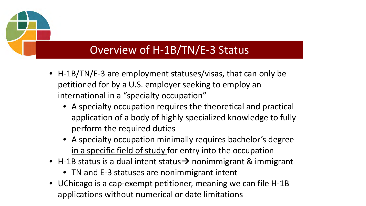- H-1B/TN/E-3 are employment statuses/visas, that can only be petitioned for by a U.S. employer seeking to employ an international in a "specialty occupation"
	- A specialty occupation requires the theoretical and practical application of a body of highly specialized knowledge to fully perform the required duties
	- A specialty occupation minimally requires bachelor's degree in a specific field of study for entry into the occupation
- H-1B status is a dual intent status  $\rightarrow$  nonimmigrant & immigrant
	- TN and E-3 statuses are nonimmigrant intent
- UChicago is a cap-exempt petitioner, meaning we can file H-1B applications without numerical or date limitations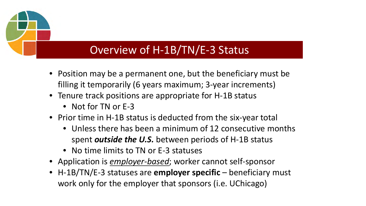- Position may be a permanent one, but the beneficiary must be filling it temporarily (6 years maximum; 3-year increments)
- Tenure track positions are appropriate for H-1B status
	- Not for TN or E-3
- Prior time in H-1B status is deducted from the six-year total
	- Unless there has been a minimum of 12 consecutive months spent *outside the U.S.* between periods of H-1B status
	- No time limits to TN or E-3 statuses
- Application is *employer-based*; worker cannot self-sponsor
- H-1B/TN/E-3 statuses are **employer specific**  beneficiary must work only for the employer that sponsors (i.e. UChicago)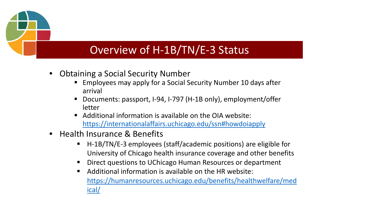- Obtaining a Social Security Number
	- Employees may apply for a Social Security Number 10 days after arrival
	- Documents: passport, I-94, I-797 (H-1B only), employment/offer letter
	- Additional information is available on the OIA website: <https://internationalaffairs.uchicago.edu/ssn#howdoiapply>
- Health Insurance & Benefits
	- H-1B/TN/E-3 employees (staff/academic positions) are eligible for University of Chicago health insurance coverage and other benefits
	- Direct questions to UChicago Human Resources or department
	- $\blacksquare$  Additional information is available on the HR website: [https://humanresources.uchicago.edu/benefits/healthwelfare/med](https://humanresources.uchicago.edu/benefits/healthwelfare/medical/) ical/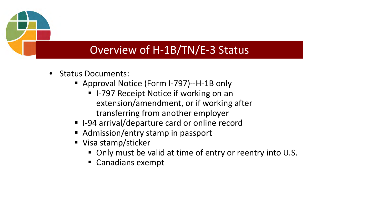- Status Documents:
	- Approval Notice (Form I-797)--H-1B only
		- I-797 Receipt Notice if working on an extension/amendment, or if working after transferring from another employer
	- I-94 arrival/departure card or online record
	- Admission/entry stamp in passport
	- Visa stamp/sticker
		- Only must be valid at time of entry or reentry into U.S.
		- Canadians exempt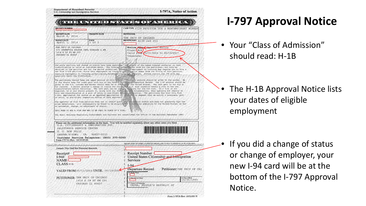| <b>RECEIPT NUMBER</b>                                                                                    |                                                                                                                  | CASE TYPE 1129 PETITION FOR A NONTMMIGRANT WORKER                                                                                                                                                                                                                                                                                                                                                                                                                      |  |  |
|----------------------------------------------------------------------------------------------------------|------------------------------------------------------------------------------------------------------------------|------------------------------------------------------------------------------------------------------------------------------------------------------------------------------------------------------------------------------------------------------------------------------------------------------------------------------------------------------------------------------------------------------------------------------------------------------------------------|--|--|
| <b>RECEIPT DATE</b><br>2014<br>March 4,                                                                  | PRIORITY DATE                                                                                                    | <b>PETITIONER</b>                                                                                                                                                                                                                                                                                                                                                                                                                                                      |  |  |
| <b>NOTICE DATE</b><br>2014<br>April 1,                                                                   | <b>PAGE</b><br>1 of 2                                                                                            | THE UNIV OF CHICAGO<br>BENEFICIARY A138 242 212                                                                                                                                                                                                                                                                                                                                                                                                                        |  |  |
| THE UNIV OF CHICAGO<br>C/O CHANETTIA NELSON INTL SCHOLAR & EM<br>1414 E 59 ST RM 291<br>CHICAGO IL 60637 |                                                                                                                  | Notice Free Approval Notice<br>Class: H1B<br>Valid from 05/11/2014 to 05/10/2017<br>Consulate:                                                                                                                                                                                                                                                                                                                                                                         |  |  |
|                                                                                                          |                                                                                                                  | The above perition and change of status have been approved. In estatus of the named foreign worker(s) in this<br>classification is valid as indicated above / The foreign worker (s) can work for the petitioner, but only as<br>det<br>.Please<br>contact the IRS with any                                                                                                                                                                                            |  |  |
|                                                                                                          |                                                                                                                  | The petitioner should keep the upper portion of this houlee. The Dower portion should be given to the worker<br>or she should keep the right part with his or her Form 1-94, Arrival beparture Record. The 1-94 portion should be                                                                                                                                                                                                                                      |  |  |
|                                                                                                          |                                                                                                                  | of sign for the U.S. Customs and Border Patrol when he of she hasves the United States. The left part is for his or<br>her records. A person granted a change of state who heavy the U.S. what normally obtained in the part is f<br>this new classification at a port of entry or pre-timple (neperties it without / The peritioner may also tile form )<br>I-B24, Application for Action on an Approved Application or Petition, to request that we nority a consula |  |  |
| an extension, change, or adjustment of status                                                            | THIS FORM IS NOT A VISA NOR MAY IT BE USED IN PLACE OF A VISA.                                                   | The approval of this wisa perición does not in itself scant any imitie eclon status and does not suarantes that the<br>alien beneficiary / will subsequently be found to be sligible for a <i>visal</i> for admission to the United St<br>The Small Business Regulatory Enforcement and Fairness Act established the Office of the National Ombudsman (ONO)                                                                                                            |  |  |
| CALIFORNIA SERVICE CENTER<br>P. O. BOX 30111<br>LAGUNA NIGUEL<br>Form I797A (Rev. 10/31/05)N             | U.S. CITIZENSHIP & IMMIGRATION SVC<br>92607-0111<br>C <sub>A</sub><br>Customer Service Telephone: (800) 375-5283 | Please see the additional information on the back. You will be notified separately about any other cases you filed.<br><b>The Manufacturer</b>                                                                                                                                                                                                                                                                                                                         |  |  |
|                                                                                                          |                                                                                                                  | PLEASE TEAR OFF FORM 1-PARRITED BELOW, AND STARES TO ORIGINAL I-PA IF AVAILABLE,                                                                                                                                                                                                                                                                                                                                                                                       |  |  |
| Detach This Half for Personal Records<br>Receipt#<br>$I - 94#$<br><b>NAME</b><br>CLASS R1B               |                                                                                                                  | Receipt Number<br>United States Citizenship and Immigration<br><b>Services</b><br>$I-94$                                                                                                                                                                                                                                                                                                                                                                               |  |  |
|                                                                                                          | VALID FROM 05/11/2014 UNTIL 05/10/2014                                                                           | Departure Record<br>Petitioner: THE UNIV OF CHI<br>14. Family Name                                                                                                                                                                                                                                                                                                                                                                                                     |  |  |

### **I-797 Approval Notice**

• Your "Class of Admission" should read: H-1B

• The H-1B Approval Notice lists your dates of eligible employment

• If you did a change of status or change of employer, your new I-94 card will be at the bottom of the I-797 Approval Notice.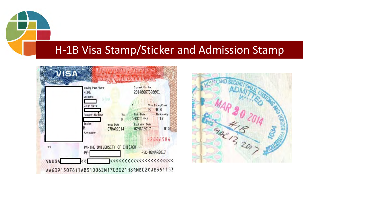### H-1B Visa Stamp/Sticker and Admission Stamp



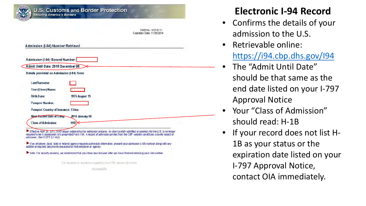|                                            | OMB No. 1651-0111<br>Expiration Date: 11/30/2014 |
|--------------------------------------------|--------------------------------------------------|
| Admission (I-94) Number Retrieval          |                                                  |
| Admission (1-94) Record Number:            |                                                  |
| Admit Until Date: 2016 December 08         |                                                  |
| Details provided on Admission (1-94) form: |                                                  |
| Last/Surname:                              |                                                  |
| First (Given) Name:                        |                                                  |
| <b>Birth Date:</b>                         | <b>1976 August 15</b>                            |
| <b>Passport Number:</b>                    |                                                  |
| Passport Country of Issuance: China        |                                                  |
| Most Recent Date of Entry-                 | 2014 January 08                                  |
| <b>Class of Admission:</b>                 | H1B                                              |
|                                            |                                                  |

For inquiries or questions regarding your 1-94, please click here.

Accessibility

### **Electronic I-94 Record**

- Confirms the details of your admission to the U.S.
- Retrievable online: <https://i94.cbp.dhs.gov/I94>
- The "Admit Until Date" should be that same as the end date listed on your I-797 Approval Notice
- Your "Class of Admission" should read: H-1B
- If your record does not list H-1B as your status or the expiration date listed on your I-797 Approval Notice, contact OIA immediately.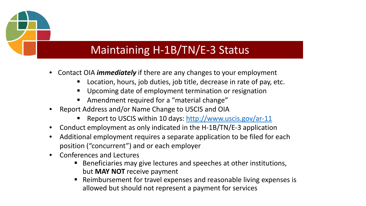### Maintaining H-1B/TN/E-3 Status

- Contact OIA *immediately* if there are any changes to your employment
	- Location, hours, job duties, job title, decrease in rate of pay, etc.
	- Upcoming date of employment termination or resignation
	- Amendment required for a "material change"
- Report Address and/or Name Change to USCIS and OIA
	- Report to USCIS within 10 days:<http://www.uscis.gov/ar-11>
- Conduct employment as only indicated in the H-1B/TN/E-3 application
- Additional employment requires a separate application to be filed for each position ("concurrent") and or each employer
- Conferences and Lectures
	- **Beneficiaries may give lectures and speeches at other institutions,** but **MAY NOT** receive payment
	- Reimbursement for travel expenses and reasonable living expenses is allowed but should not represent a payment for services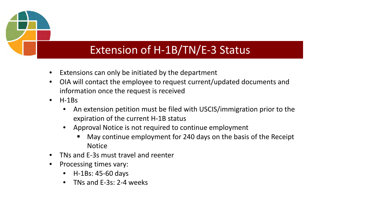### Extension of H-1B/TN/E-3 Status

- Extensions can only be initiated by the department
- OIA will contact the employee to request current/updated documents and information once the request is received
- $\bullet$  H-1Bs
	- An extension petition must be filed with USCIS/immigration prior to the expiration of the current H-1B status
	- Approval Notice is not required to continue employment
		- May continue employment for 240 days on the basis of the Receipt Notice
- TNs and E-3s must travel and reenter
- Processing times vary:
	- H-1Bs: 45-60 days
	- TNs and E-3s: 2-4 weeks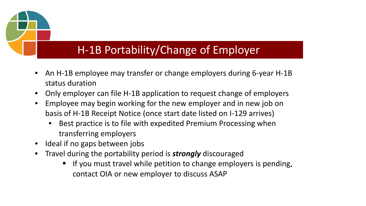### H-1B Portability/Change of Employer

- An H-1B employee may transfer or change employers during 6-year H-1B status duration
- Only employer can file H-1B application to request change of employers
- Employee may begin working for the new employer and in new job on basis of H-1B Receipt Notice (once start date listed on I-129 arrives)
	- Best practice is to file with expedited Premium Processing when transferring employers
- Ideal if no gaps between jobs
- Travel during the portability period is *strongly* discouraged
	- If you must travel while petition to change employers is pending, contact OIA or new employer to discuss ASAP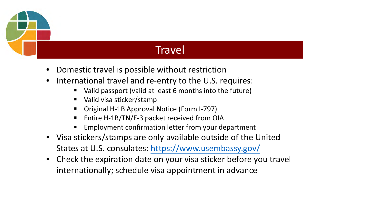

### **Travel**

- Domestic travel is possible without restriction
- International travel and re-entry to the U.S. requires:
	- Valid passport (valid at least 6 months into the future)
	- Valid visa sticker/stamp
	- Original H-1B Approval Notice (Form I-797)
	- Entire H-1B/TN/E-3 packet received from OIA
	- Employment confirmation letter from your department
- Visa stickers/stamps are only available outside of the United States at U.S. consulates: <https://www.usembassy.gov/>
- Check the expiration date on your visa sticker before you travel internationally; schedule visa appointment in advance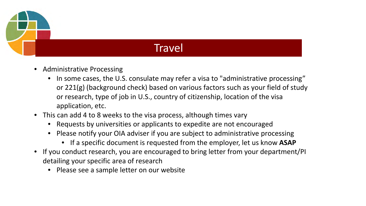

### **Travel**

- Administrative Processing
	- In some cases, the U.S. consulate may refer a visa to "administrative processing" or 221(g) (background check) based on various factors such as your field of study or research, type of job in U.S., country of citizenship, location of the visa application, etc.
- This can add 4 to 8 weeks to the visa process, although times vary
	- Requests by universities or applicants to expedite are not encouraged
	- Please notify your OIA adviser if you are subject to administrative processing
		- If a specific document is requested from the employer, let us know **ASAP**
- If you conduct research, you are encouraged to bring letter from your department/PI detailing your specific area of research
	- Please see a sample letter on our website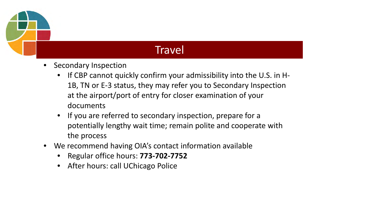

### **Travel**

- Secondary Inspection
	- If CBP cannot quickly confirm your admissibility into the U.S. in H-1B, TN or E-3 status, they may refer you to Secondary Inspection at the airport/port of entry for closer examination of your documents
	- If you are referred to secondary inspection, prepare for a potentially lengthy wait time; remain polite and cooperate with the process
- We recommend having OIA's contact information available
	- Regular office hours: **773-702-7752**
	- After hours: call UChicago Police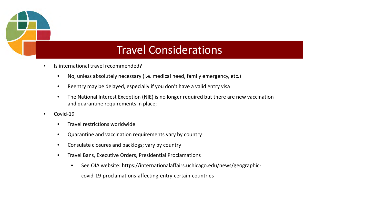

### Travel Considerations

- Is international travel recommended?
	- No, unless absolutely necessary (i.e. medical need, family emergency, etc.)
	- Reentry may be delayed, especially if you don't have a valid entry visa
	- The National Interest Exception (NIE) is no longer required but there are new vaccination and quarantine requirements in place;
- Covid-19
	- Travel restrictions worldwide
	- Quarantine and vaccination requirements vary by country
	- Consulate closures and backlogs; vary by country
	- Travel Bans, Executive Orders, Presidential Proclamations
		- See OIA website: https://internationalaffairs.uchicago.edu/news/geographic-

covid-19-proclamations-affecting-entry-certain-countries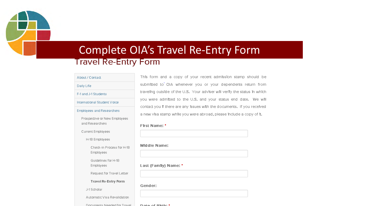

### Complete OIA's Travel Re-Entry Form**Travel Re-Entry Form**

### About / Contact

Daily Life

F-1 and J-1 Students

International Student Voice

### Employees and Researchers

Prospective or New Employees and Researchers

Current Employees

H-1B Employees

Check-In Process for H-1B **Employees** 

Guidelines for H-1B Employees

Request for Travel Letter

Travel Re-Entry Form

J-1 Scholar

Automatic Visa Revalidation

Documente Needed for Trairel

This form and a copy of your recent admission stamp should be submitted to OIA whenever you or your dependents return from traveling outside of the U.S. Your adviser will verify the status in which you were admitted to the U.S. and your status end date. We will contact you If there are any Issues with the documents. If you received a new visa stamp while you were abroad, please include a copy of it.

### First Name: \*

### Middle Name:



### Last (Family) Name: \*

Gender:

Dota of Dirth: \*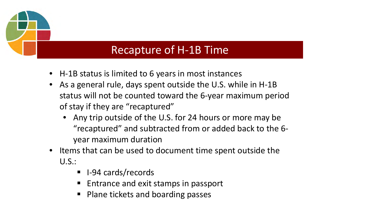

### Recapture of H-1B Time

- H-1B status is limited to 6 years in most instances
- As a general rule, days spent outside the U.S. while in H-1B status will not be counted toward the 6-year maximum period of stay if they are "recaptured"
	- Any trip outside of the U.S. for 24 hours or more may be "recaptured" and subtracted from or added back to the 6 year maximum duration
- Items that can be used to document time spent outside the U.S.:
	- I-94 cards/records
	- Entrance and exit stamps in passport
	- Plane tickets and boarding passes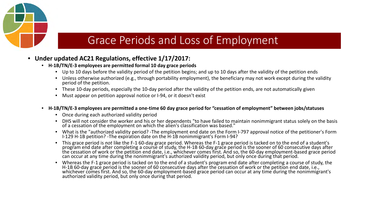

### Grace Periods and Loss of Employment

- **Under updated AC21 Regulations, effective 1/17/2017:**
	- **H-1B/TN/E-3 employees are permitted formal 10 day grace periods**
		- Up to 10 days before the validity period of the petition begins; and up to 10 days after the validity of the petition ends
		- Unless otherwise authorized (e.g., through portability employment), the beneficiary may not work except during the validity period of the petition.
		- These 10-day periods, especially the 10-day period after the validity of the petition ends, are not automatically given
		- Must appear on petition approval notice or I-94, or it doesn't exist
	- **H-1B/TN/E-3 employees are permitted a one-time 60 day grace period for "cessation of employment" between jobs/statuses**
		- Once during each authorized validity period
		- DHS will not consider the worker and his or her dependents "to have failed to maintain nonimmigrant status solely on the basis of a cessation of the employment on which the alien's classification was based."
		- What is the "authorized validity period? -The employment end date on the Form I-797 approval notice of the petitioner's Form I-129 H-1B petition? -The expiration date on the H-1B nonimmigrant's Form I-94?
		- This grace period is *not* like the F-1 60-day grace period. Whereas the F-1 grace period is tacked on to the end of a student's program end date after completing a course of study, the H-1B 60-day grace period is the so
		- Whereas the F-1 grace period is tacked on to the end of a student's program end date after completing a course of study, the H-1B 60-day gracĕ period is the sooner of 60 consecutive days after the cessation of work or the petition end date, i.e., '<br>whichever comes first. And so, the 60-day employment-based grace period can occur at any time duri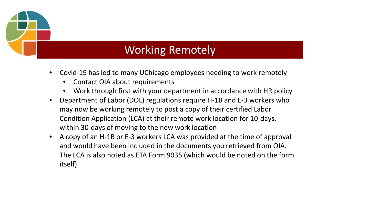### Working Remotely

- Covid-19 has led to many UChicago employees needing to work remotely
	- Contact OIA about requirements
	- Work through first with your department in accordance with HR policy
- Department of Labor (DOL) regulations require H-1B and E-3 workers who may now be working remotely to post a copy of their certified Labor Condition Application (LCA) at their remote work location for 10-days, within 30-days of moving to the new work location
- A copy of an H-1B or E-3 workers LCA was provided at the time of approval and would have been included in the documents you retrieved from OIA. The LCA is also noted as ETA Form 9035 (which would be noted on the form itself)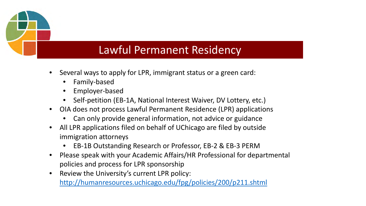### Lawful Permanent Residency

- Several ways to apply for LPR, immigrant status or a green card:
	- Family-based
	- Employer-based
	- Self-petition (EB-1A, National Interest Waiver, DV Lottery, etc.)
- OIA does not process Lawful Permanent Residence (LPR) applications
	- Can only provide general information, not advice or guidance
- All LPR applications filed on behalf of UChicago are filed by outside immigration attorneys
	- EB-1B Outstanding Research or Professor, EB-2 & EB-3 PERM
- Please speak with your Academic Affairs/HR Professional for departmental policies and process for LPR sponsorship
- Review the University's current LPR policy: <http://humanresources.uchicago.edu/fpg/policies/200/p211.shtml>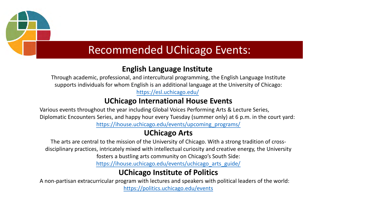

### Recommended UChicago Events:

### **English Language Institute**

Through academic, professional, and intercultural programming, the English Language Institute supports individuals for whom English is an additional language at the University of Chicago:

<https://esl.uchicago.edu/>

### **UChicago International House Events**

Various events throughout the year including Global Voices Performing Arts & Lecture Series, Diplomatic Encounters Series, and happy hour every Tuesday (summer only) at 6 p.m. in the court yard: [https://ihouse.uchicago.edu/events/upcoming\\_programs/](https://ihouse.uchicago.edu/events/upcoming_programs/)

### **UChicago Arts**

The arts are central to the mission of the University of Chicago. With a strong tradition of crossdisciplinary practices, intricately mixed with intellectual curiosity and creative energy, the University fosters a bustling arts community on Chicago's South Side:

[https://ihouse.uchicago.edu/events/uchicago\\_arts\\_guide/](https://ihouse.uchicago.edu/events/uchicago_arts_guide/)

### **UChicago Institute of Politics**

A non-partisan extracurricular program with lectures and speakers with political leaders of the world: <https://politics.uchicago.edu/events>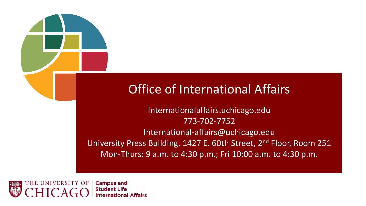### Office of International Affairs

Internationalaffairs.uchicago.edu 773-702-7752 International-affairs@uchicago.edu University Press Building, 1427 E. 60th Street, 2<sup>nd</sup> Floor, Room 251 Mon-Thurs: 9 a.m. to 4:30 p.m.; Fri 10:00 a.m. to 4:30 p.m.